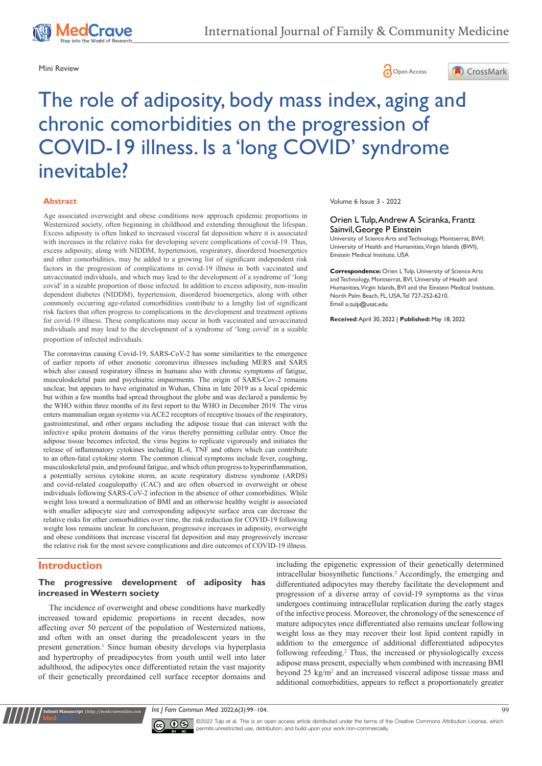





# The role of adiposity, body mass index, aging and chronic comorbidities on the progression of COVID-19 illness. Is a 'long COVID' syndrome inevitable?

#### **Abstract**

Age associated overweight and obese conditions now approach epidemic proportions in Westernized society, often beginning in childhood and extending throughout the lifespan. Excess adiposity is often linked to increased visceral fat deposition where it is associated with increases in the relative risks for developing severe complications of covid-19. Thus, excess adiposity, along with NIDDM, hypertension, respiratory, disordered bioenergetics and other comorbidities, may be added to a growing list of significant independent risk factors in the progression of complications in covid-19 illness in both vaccinated and unvaccinated individuals, and which may lead to the development of a syndrome of 'long covid' in a sizable proportion of those infected. In addition to excess adiposity, non-insulin dependent diabetes (NIDDM), hypertension, disordered bioenergetics, along with other commonly occurring age-related comorbidities contribute to a lengthy list of significant risk factors that often progress to complications in the development and treatment options for covid-19 illness. These complications may occur in both vaccinated and unvaccinated individuals and may lead to the development of a syndrome of 'long covid' in a sizable proportion of infected individuals.

The coronavirus causing Covid-19, SARS-CoV-2 has some similarities to the emergence of earlier reports of other zoonotic coronavirus illnesses including MERS and SARS which also caused respiratory illness in humans also with chronic symptoms of fatigue, musculoskeletal pain and psychiatric impairments. The origin of SARS-Cov-2 remains unclear, but appears to have originated in Wuhan, China in late 2019 as a local epidemic but within a few months had spread throughout the globe and was declared a pandemic by the WHO within three months of its first report to the WHO in December 2019. The virus enters mammalian organ systems via ACE2 receptors of receptive tissues of the respiratory, gastrointestinal, and other organs including the adipose tissue that can interact with the infective spike protein domains of the virus thereby permitting cellular entry. Once the adipose tissue becomes infected, the virus begins to replicate vigorously and initiates the release of inflammatory cytokines including IL-6, TNF and others which can contribute to an often-fatal cytokine storm. The common clinical symptoms include fever, coughing, musculoskeletal pain, and profound fatigue, and which often progress to hyperinflammation, a potentially serious cytokine storm, an acute respiratory distress syndrome (ARDS) and covid-related coagulopathy (CAC) and are often observed in overweight or obese individuals following SARS-CoV-2 infection in the absence of other comorbidities. While weight loss toward a normalization of BMI and an otherwise healthy weight is associated with smaller adipocyte size and corresponding adipocyte surface area can decrease the relative risks for other comorbidities over time, the risk reduction for COVID-19 following weight loss remains unclear. In conclusion, progressive increases in adiposity, overweight and obese conditions that increase visceral fat deposition and may progressively increase the relative risk for the most severe complications and dire outcomes of COVID-19 illness.

# **Introduction**

**nit Manuscript | http://medcraveonline.c** 

### **The progressive development of adiposity has increased in Western society**

The incidence of overweight and obese conditions have markedly increased toward epidemic proportions in recent decades, now affecting over 50 percent of the population of Westernized nations, and often with an onset during the preadolescent years in the present generation.<sup>1</sup> Since human obesity develops via hyperplasia and hypertrophy of preadipocytes from youth until well into later adulthood, the adipocytes once differentiated retain the vast majority of their genetically preordained cell surface receptor domains and Volume 6 Issue 3 - 2022

#### Orien L Tulp, Andrew A Sciranka, Frantz Sainvil,George P Einstein

University of Science Arts and Technology, Montserrat, BWI; University of Health and Humanities, Virgin Islands (BWI), Einstein Medical Institute, USA

**Correspondence:** Orien L Tulp, University of Science Arts and Technology, Montserrat, BVI, University of Health and Humanities, Virgin Islands, BVI and the Einstein Medical Institute, North Palm Beach, FL, USA, Tel 727-252-6210, Email o.tulp@usat.edu

**Received**: April 30, 2022 | **Published:** May 18, 2022

including the epigenetic expression of their genetically determined intracellular biosynthetic functions.<sup>2</sup> Accordingly, the emerging and differentiated adipocytes may thereby facilitate the development and progression of a diverse array of covid-19 symptoms as the virus undergoes continuing intracellular replication during the early stages of the infective process. Moreover, the chronology of the senescence of mature adipocytes once differentiated also remains unclear following weight loss as they may recover their lost lipid content rapidly in addition to the emergence of additional differentiated adipocytes following refeeding.<sup>2</sup> Thus, the increased or physiologically excess adipose mass present, especially when combined with increasing BMI beyond 25 kg/m<sup>2</sup> and an increased visceral adipose tissue mass and additional comorbidities, appears to reflect a proportionately greater

*Int J Fam Commun Med.* 2022;6(3):99‒104. 99



©2022 Tulp et al. This is an open access article distributed under the terms of the Creative Commons Attribution License, which permits unrestricted use, distribution, and build upon your work non-commercially.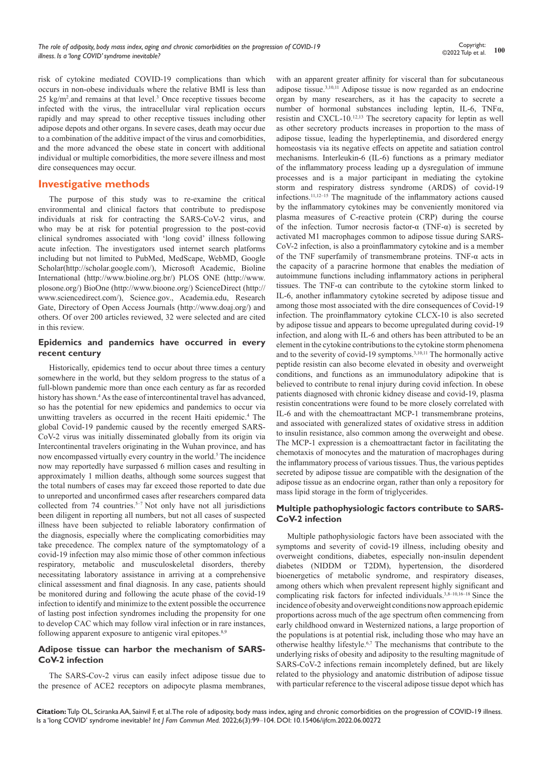risk of cytokine mediated COVID-19 complications than which occurs in non-obese individuals where the relative BMI is less than 25 kg/m<sup>2</sup> .and remains at that level.3 Once receptive tissues become infected with the virus, the intracellular viral replication occurs rapidly and may spread to other receptive tissues including other adipose depots and other organs. In severe cases, death may occur due to a combination of the additive impact of the virus and comorbidities, and the more advanced the obese state in concert with additional individual or multiple comorbidities, the more severe illness and most dire consequences may occur.

# **Investigative methods**

The purpose of this study was to re-examine the critical environmental and clinical factors that contribute to predispose individuals at risk for contracting the SARS-CoV-2 virus, and who may be at risk for potential progression to the post-covid clinical syndromes associated with 'long covid' illness following acute infection. The investigators used internet search platforms including but not limited to PubMed, MedScape, WebMD, Google Scholar(<http://scholar.google.com/>), Microsoft Academic, Bioline International [\(http://www.bioline.org.br/](https://www.emergingedtech.com/2013/12/top-11-trusted-and-free-search-engines-for-scientific-and-academic-research/(http:/www.bioline.org.br/)) PLOS ONE ([http://www.](http://www.plosone.org/) [plosone.org/\)](http://www.plosone.org/) BioOne [\(http://www.bioone.org/\)](http://www.bioone.org/) ScienceDirect [\(http://](http://www.sciencedirect.com/) [www.sciencedirect.com/](http://www.sciencedirect.com/)), Science.gov., Academia.edu, Research Gate, Directory of Open Access Journals [\(http://www.doaj.org/\)](http://www.doaj.org/) and others. Of over 200 articles reviewed, 32 were selected and are cited in this review.

# **Epidemics and pandemics have occurred in every recent century**

Historically, epidemics tend to occur about three times a century somewhere in the world, but they seldom progress to the status of a full-blown pandemic more than once each century as far as recorded history has shown.<sup>4</sup> As the ease of intercontinental travel has advanced, so has the potential for new epidemics and pandemics to occur via unwitting travelers as occurred in the recent Haiti epidemic.<sup>4</sup> The global Covid-19 pandemic caused by the recently emerged SARS-CoV-2 virus was initially disseminated globally from its origin via Intercontinental travelers originating in the Wuhan province, and has now encompassed virtually every country in the world.<sup>5</sup> The incidence now may reportedly have surpassed 6 million cases and resulting in approximately 1 million deaths, although some sources suggest that the total numbers of cases may far exceed those reported to date due to unreported and unconfirmed cases after researchers compared data collected from 74 countries.<sup>5-7</sup> Not only have not all jurisdictions been diligent in reporting all numbers, but not all cases of suspected illness have been subjected to reliable laboratory confirmation of the diagnosis, especially where the complicating comorbidities may take precedence. The complex nature of the symptomatology of a covid-19 infection may also mimic those of other common infectious respiratory, metabolic and musculoskeletal disorders, thereby necessitating laboratory assistance in arriving at a comprehensive clinical assessment and final diagnosis. In any case, patients should be monitored during and following the acute phase of the covid-19 infection to identify and minimize to the extent possible the occurrence of lasting post infection syndromes including the propensity for one to develop CAC which may follow viral infection or in rare instances, following apparent exposure to antigenic viral epitopes.<sup>8,9</sup>

# **Adipose tissue can harbor the mechanism of SARS-CoV-2 infection**

The SARS-Cov-2 virus can easily infect adipose tissue due to the presence of ACE2 receptors on adipocyte plasma membranes, with an apparent greater affinity for visceral than for subcutaneous adipose tissue.3,10,11 Adipose tissue is now regarded as an endocrine organ by many researchers, as it has the capacity to secrete a number of hormonal substances including leptin, IL-6, TNFα, resistin and CXCL-10.12,13 The secretory capacity for leptin as well as other secretory products increases in proportion to the mass of adipose tissue, leading the hyperleptinemia, and disordered energy homeostasis via its negative effects on appetite and satiation control mechanisms. Interleukin-6 (IL-6) functions as a primary mediator of the inflammatory process leading up a dysregulation of immune processes and is a major participant in mediating the cytokine storm and respiratory distress syndrome (ARDS) of covid-19 infections.11,12–15 The magnitude of the inflammatory actions caused by the inflammatory cytokines may be conveniently monitored via plasma measures of C-reactive protein (CRP) during the course of the infection. Tumor necrosis factor- $\alpha$  (TNF- $\alpha$ ) is secreted by activated M1 macrophages common to adipose tissue during SARS-CoV-2 infection, is also a proinflammatory cytokine and is a member of the TNF superfamily of transmembrane proteins. TNF-α acts in the capacity of a paracrine hormone that enables the mediation of autoimmune functions including inflammatory actions in peripheral tissues. The TNF- $\alpha$  can contribute to the cytokine storm linked to IL-6, another inflammatory cytokine secreted by adipose tissue and among those most associated with the dire consequences of Covid-19 infection. The proinflammatory cytokine CLCX-10 is also secreted by adipose tissue and appears to become upregulated during covid-19 infection, and along with IL-6 and others has been attributed to be an element in the cytokine contributions to the cytokine storm phenomena and to the severity of covid-19 symptoms.3,10,11 The hormonally active peptide resistin can also become elevated in obesity and overweight conditions, and functions as an immunodulatory adipokine that is believed to contribute to renal injury during covid infection. In obese patients diagnosed with chronic kidney disease and covid-19, plasma resistin concentrations were found to be more closely correlated with IL-6 and with the chemoattractant MCP-1 transmembrane proteins, and associated with generalized states of oxidative stress in addition to insulin resistance, also common among the overweight and obese. The MCP-1 expression is a chemoattractant factor in facilitating the chemotaxis of monocytes and the maturation of macrophages during the inflammatory process of various tissues. Thus, the various peptides secreted by adipose tissue are compatible with the designation of the adipose tissue as an endocrine organ, rather than only a repository for mass lipid storage in the form of triglycerides.

#### **Multiple pathophysiologic factors contribute to SARS-CoV-2 infection**

Multiple pathophysiologic factors have been associated with the symptoms and severity of covid-19 illness, including obesity and overweight conditions, diabetes, especially non-insulin dependent diabetes (NIDDM or T2DM), hypertension, the disordered bioenergetics of metabolic syndrome, and respiratory diseases, among others which when prevalent represent highly significant and complicating risk factors for infected individuals.3,8–10,16–18 Since the incidence of obesity and overweight conditions now approach epidemic proportions across much of the age spectrum often commencing from early childhood onward in Westernized nations, a large proportion of the populations is at potential risk, including those who may have an otherwise healthy lifestyle.6,7 The mechanisms that contribute to the underlying risks of obesity and adiposity to the resulting magnitude of SARS-CoV-2 infections remain incompletely defined, but are likely related to the physiology and anatomic distribution of adipose tissue with particular reference to the visceral adipose tissue depot which has

**Citation:** Tulp OL, Sciranka AA, Sainvil F, et al. The role of adiposity, body mass index, aging and chronic comorbidities on the progression of COVID-19 illness. Is a 'long COVID' syndrome inevitable? *Int J Fam Commun Med.* 2022;6(3):99‒104. DOI: [10.15406/ijfcm.2022.06.00272](https://doi.org/10.15406/ijfcm.2022.06.00272)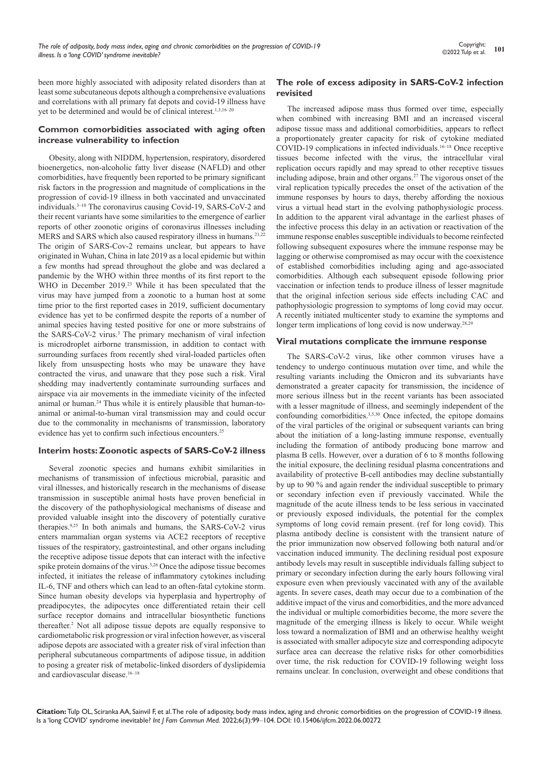been more highly associated with adiposity related disorders than at least some subcutaneous depots although a comprehensive evaluations and correlations with all primary fat depots and covid-19 illness have yet to be determined and would be of clinical interest.<sup>1,3,16-20</sup>

#### **Common comorbidities associated with aging often increase vulnerability to infection**

Obesity, along with NIDDM, hypertension, respiratory, disordered bioenergetics, non-alcoholic fatty liver disease (NAFLD) and other comorbidities, have frequently been reported to be primary significant risk factors in the progression and magnitude of complications in the progression of covid-19 illness in both vaccinated and unvaccinated individuals.3–10 The coronavirus causing Covid-19, SARS-CoV-2 and their recent variants have some similarities to the emergence of earlier reports of other zoonotic origins of coronavirus illnesses including MERS and SARS which also caused respiratory illness in humans.<sup>21,22</sup> The origin of SARS-Cov-2 remains unclear, but appears to have originated in Wuhan, China in late 2019 as a local epidemic but within a few months had spread throughout the globe and was declared a pandemic by the WHO within three months of its first report to the WHO in December 2019.<sup>23</sup> While it has been speculated that the virus may have jumped from a zoonotic to a human host at some time prior to the first reported cases in 2019, sufficient documentary evidence has yet to be confirmed despite the reports of a number of animal species having tested positive for one or more substrains of the SARS-CoV-2 virus.<sup>3</sup> The primary mechanism of viral infection is microdroplet airborne transmission, in addition to contact with surrounding surfaces from recently shed viral-loaded particles often likely from unsuspecting hosts who may be unaware they have contracted the virus, and unaware that they pose such a risk. Viral shedding may inadvertently contaminate surrounding surfaces and airspace via air movements in the immediate vicinity of the infected animal or human.24 Thus while it is entirely plausible that human-toanimal or animal-to-human viral transmission may and could occur due to the commonality in mechanisms of transmission, laboratory evidence has yet to confirm such infectious encounters.25

#### **Interim hosts: Zoonotic aspects of SARS-CoV-2 illness**

Several zoonotic species and humans exhibit similarities in mechanisms of transmission of infectious microbial, parasitic and viral illnesses, and historically research in the mechanisms of disease transmission in susceptible animal hosts have proven beneficial in the discovery of the pathophysiological mechanisms of disease and provided valuable insight into the discovery of potentially curative therapies.9,25 In both animals and humans, the SARS-CoV-2 virus enters mammalian organ systems via ACE2 receptors of receptive tissues of the respiratory, gastrointestinal, and other organs including the receptive adipose tissue depots that can interact with the infective spike protein domains of the virus.<sup>3,26</sup> Once the adipose tissue becomes infected, it initiates the release of inflammatory cytokines including IL-6, TNF and others which can lead to an often-fatal cytokine storm. Since human obesity develops via hyperplasia and hypertrophy of preadipocytes, the adipocytes once differentiated retain their cell surface receptor domains and intracellular biosynthetic functions thereafter.2 Not all adipose tissue depots are equally responsive to cardiometabolic risk progression or viral infection however, as visceral adipose depots are associated with a greater risk of viral infection than peripheral subcutaneous compartments of adipose tissue, in addition to posing a greater risk of metabolic-linked disorders of dyslipidemia and cardiovascular disease.16–18

# **The role of excess adiposity in SARS-CoV-2 infection revisited**

The increased adipose mass thus formed over time, especially when combined with increasing BMI and an increased visceral adipose tissue mass and additional comorbidities, appears to reflect a proportionately greater capacity for risk of cytokine mediated COVID-19 complications in infected individuals.16–18 Once receptive tissues become infected with the virus, the intracellular viral replication occurs rapidly and may spread to other receptive tissues including adipose, brain and other organs.<sup>27</sup> The vigorous onset of the viral replication typically precedes the onset of the activation of the immune responses by hours to days, thereby affording the noxious virus a virtual head start in the evolving pathophysiologic process. In addition to the apparent viral advantage in the earliest phases of the infective process this delay in an activation or reactivation of the immune response enables susceptible individuals to become reinfected following subsequent exposures where the immune response may be lagging or otherwise compromised as may occur with the coexistence of established comorbidities including aging and age-associated comorbidities. Although each subsequent episode following prior vaccination or infection tends to produce illness of lesser magnitude that the original infection serious side effects including CAC and pathophysiologic progression to symptoms of long covid may occur. A recently initiated multicenter study to examine the symptoms and longer term implications of long covid is now underway.28,29

#### **Viral mutations complicate the immune response**

The SARS-CoV-2 virus, like other common viruses have a tendency to undergo continuous mutation over time, and while the resulting variants including the Omicron and its subvariants have demonstrated a greater capacity for transmission, the incidence of more serious illness but in the recent variants has been associated with a lesser magnitude of illness, and seemingly independent of the confounding comorbidities.<sup>3,5,30</sup> Once infected, the epitope domains of the viral particles of the original or subsequent variants can bring about the initiation of a long-lasting immune response, eventually including the formation of antibody producing bone marrow and plasma B cells. However, over a duration of 6 to 8 months following the initial exposure, the declining residual plasma concentrations and availability of protective B-cell antibodies may decline substantially by up to 90 % and again render the individual susceptible to primary or secondary infection even if previously vaccinated. While the magnitude of the acute illness tends to be less serious in vaccinated or previously exposed individuals, the potential for the complex symptoms of long covid remain present. (ref for long covid). This plasma antibody decline is consistent with the transient nature of the prior immunization now observed following both natural and/or vaccination induced immunity. The declining residual post exposure antibody levels may result in susceptible individuals falling subject to primary or secondary infection during the early hours following viral exposure even when previously vaccinated with any of the available agents. In severe cases, death may occur due to a combination of the additive impact of the virus and comorbidities, and the more advanced the individual or multiple comorbidities become, the more severe the magnitude of the emerging illness is likely to occur. While weight loss toward a normalization of BMI and an otherwise healthy weight is associated with smaller adipocyte size and corresponding adipocyte surface area can decrease the relative risks for other comorbidities over time, the risk reduction for COVID-19 following weight loss remains unclear. In conclusion, overweight and obese conditions that

**Citation:** Tulp OL, Sciranka AA, Sainvil F, et al. The role of adiposity, body mass index, aging and chronic comorbidities on the progression of COVID-19 illness. Is a 'long COVID' syndrome inevitable? *Int J Fam Commun Med.* 2022;6(3):99‒104. DOI: [10.15406/ijfcm.2022.06.00272](https://doi.org/10.15406/ijfcm.2022.06.00272)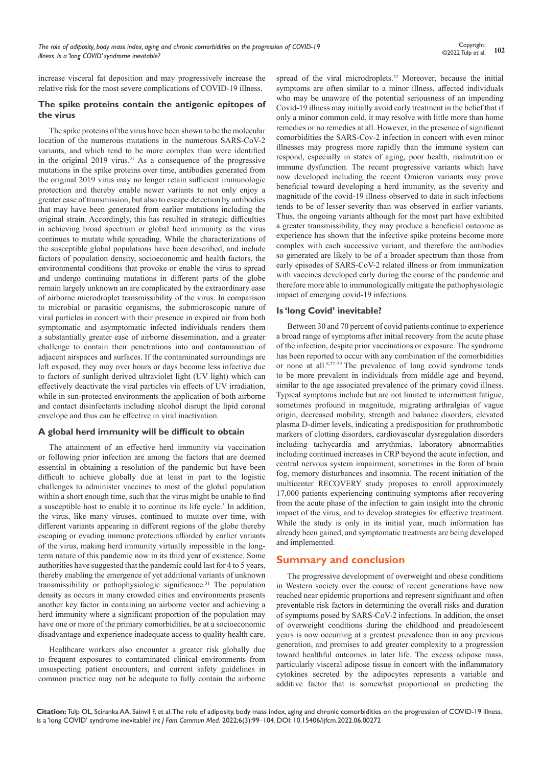increase visceral fat deposition and may progressively increase the relative risk for the most severe complications of COVID-19 illness.

#### **The spike proteins contain the antigenic epitopes of the virus**

The spike proteins of the virus have been shown to be the molecular location of the numerous mutations in the numerous SARS-CoV-2 variants, and which tend to be more complex than were identified in the original  $2019$  virus.<sup>31</sup> As a consequence of the progressive mutations in the spike proteins over time, antibodies generated from the original 2019 virus may no longer retain sufficient immunologic protection and thereby enable newer variants to not only enjoy a greater ease of transmission, but also to escape detection by antibodies that may have been generated from earlier mutations including the original strain. Accordingly, this has resulted in strategic difficulties in achieving broad spectrum or global herd immunity as the virus continues to mutate while spreading. While the characterizations of the susceptible global populations have been described, and include factors of population density, socioeconomic and health factors, the environmental conditions that provoke or enable the virus to spread and undergo continuing mutations in different parts of the globe remain largely unknown an are complicated by the extraordinary ease of airborne microdroplet transmissibility of the virus. In comparison to microbial or parasitic organisms, the submicroscopic nature of viral particles in concert with their presence in expired air from both symptomatic and asymptomatic infected individuals renders them a substantially greater ease of airborne dissemination, and a greater challenge to contain their penetrations into and contamination of adjacent airspaces and surfaces. If the contaminated surroundings are left exposed, they may over hours or days become less infective due to factors of sunlight derived ultraviolet light (UV light) which can effectively deactivate the viral particles via effects of UV irradiation, while in sun-protected environments the application of both airborne and contact disinfectants including alcohol disrupt the lipid coronal envelope and thus can be effective in viral inactivation.

# **A global herd immunity will be difficult to obtain**

The attainment of an effective herd immunity via vaccination or following prior infection are among the factors that are deemed essential in obtaining a resolution of the pandemic but have been difficult to achieve globally due at least in part to the logistic challenges to administer vaccines to most of the global population within a short enough time, such that the virus might be unable to find a susceptible host to enable it to continue its life cycle.<sup>5</sup> In addition, the virus, like many viruses, continued to mutate over time, with different variants appearing in different regions of the globe thereby escaping or evading immune protections afforded by earlier variants of the virus, making herd immunity virtually impossible in the longterm nature of this pandemic now in its third year of existence. Some authorities have suggested that the pandemic could last for 4 to 5 years, thereby enabling the emergence of yet additional variants of unknown transmissibility or pathophysiologic significance.<sup>31</sup> The population density as occurs in many crowded cities and environments presents another key factor in containing an airborne vector and achieving a herd immunity where a significant proportion of the population may have one or more of the primary comorbidities, be at a socioeconomic disadvantage and experience inadequate access to quality health care.

Healthcare workers also encounter a greater risk globally due to frequent exposures to contaminated clinical environments from unsuspecting patient encounters, and current safety guidelines in common practice may not be adequate to fully contain the airborne spread of the viral microdroplets.<sup>32</sup> Moreover, because the initial symptoms are often similar to a minor illness, affected individuals who may be unaware of the potential seriousness of an impending Covid-19 illness may initially avoid early treatment in the belief that if only a minor common cold, it may resolve with little more than home remedies or no remedies at all. However, in the presence of significant comorbidities the SARS-Cov-2 infection in concert with even minor illnesses may progress more rapidly than the immune system can respond, especially in states of aging, poor health, malnutrition or immune dysfunction. The recent progressive variants which have now developed including the recent Omicron variants may prove beneficial toward developing a herd immunity, as the severity and magnitude of the covid-19 illness observed to date in such infections tends to be of lesser severity than was observed in earlier variants. Thus, the ongoing variants although for the most part have exhibited a greater transmissibility, they may produce a beneficial outcome as experience has shown that the infective spike proteins become more complex with each successive variant, and therefore the antibodies so generated are likely to be of a broader spectrum than those from early episodes of SARS-CoV-2 related illness or from immunization with vaccines developed early during the course of the pandemic and therefore more able to immunologically mitigate the pathophysiologic impact of emerging covid-19 infections.

# **Is 'long Covid' inevitable?**

Between 30 and 70 percent of covid patients continue to experience a broad range of symptoms after initial recovery from the acute phase of the infection, despite prior vaccinations or exposure. The syndrome has been reported to occur with any combination of the comorbidities or none at all.8,27–29 The prevalence of long covid syndrome tends to be more prevalent in individuals from middle age and beyond, similar to the age associated prevalence of the primary covid illness. Typical symptoms include but are not limited to intermittent fatigue, sometimes profound in magnitude, migrating arthralgias of vague origin, decreased mobility, strength and balance disorders, elevated plasma D-dimer levels, indicating a predisposition for prothrombotic markers of clotting disorders, cardiovascular dysregulation disorders including tachycardia and arrythmias, laboratory abnormalities including continued increases in CRP beyond the acute infection, and central nervous system impairment, sometimes in the form of brain fog, memory disturbances and insomnia. The recent initiation of the multicenter RECOVERY study proposes to enroll approximately 17,000 patients experiencing continuing symptoms after recovering from the acute phase of the infection to gain insight into the chronic impact of the virus, and to develop strategies for effective treatment. While the study is only in its initial year, much information has already been gained, and symptomatic treatments are being developed and implemented.

# **Summary and conclusion**

The progressive development of overweight and obese conditions in Western society over the course of recent generations have now reached near epidemic proportions and represent significant and often preventable risk factors in determining the overall risks and duration of symptoms posed by SARS-CoV-2 infections. In addition, the onset of overweight conditions during the childhood and preadolescent years is now occurring at a greatest prevalence than in any previous generation, and promises to add greater complexity to a progression toward healthful outcomes in later life. The excess adipose mass, particularly visceral adipose tissue in concert with the inflammatory cytokines secreted by the adipocytes represents a variable and additive factor that is somewhat proportional in predicting the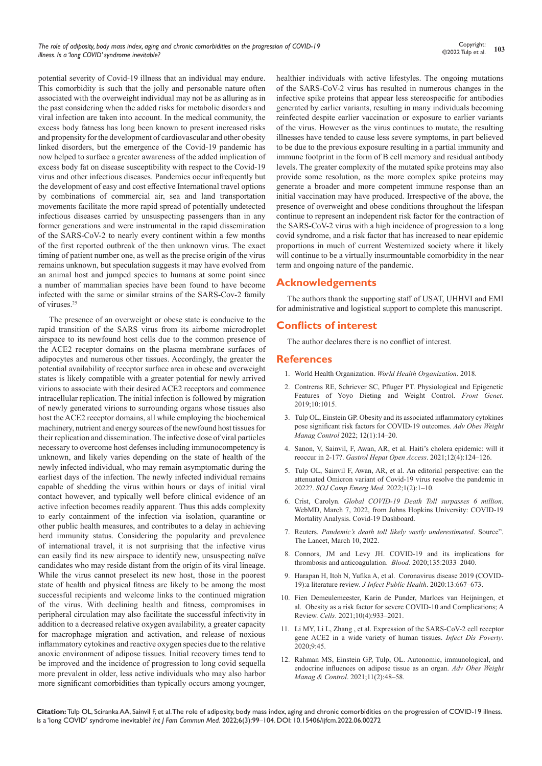potential severity of Covid-19 illness that an individual may endure. This comorbidity is such that the jolly and personable nature often associated with the overweight individual may not be as alluring as in the past considering when the added risks for metabolic disorders and viral infection are taken into account. In the medical community, the excess body fatness has long been known to present increased risks and propensity for the development of cardiovascular and other obesity linked disorders, but the emergence of the Covid-19 pandemic has now helped to surface a greater awareness of the added implication of excess body fat on disease susceptibility with respect to the Covid-19 virus and other infectious diseases. Pandemics occur infrequently but the development of easy and cost effective International travel options by combinations of commercial air, sea and land transportation movements facilitate the more rapid spread of potentially undetected infectious diseases carried by unsuspecting passengers than in any former generations and were instrumental in the rapid dissemination of the SARS-CoV-2 to nearly every continent within a few months of the first reported outbreak of the then unknown virus. The exact timing of patient number one, as well as the precise origin of the virus remains unknown, but speculation suggests it may have evolved from an animal host and jumped species to humans at some point since a number of mammalian species have been found to have become infected with the same or similar strains of the SARS-Cov-2 family of viruses.25

The presence of an overweight or obese state is conducive to the rapid transition of the SARS virus from its airborne microdroplet airspace to its newfound host cells due to the common presence of the ACE2 receptor domains on the plasma membrane surfaces of adipocytes and numerous other tissues. Accordingly, the greater the potential availability of receptor surface area in obese and overweight states is likely compatible with a greater potential for newly arrived virions to associate with their desired ACE2 receptors and commence intracellular replication. The initial infection is followed by migration of newly generated virions to surrounding organs whose tissues also host the ACE2 receptor domains, all while employing the biochemical machinery, nutrient and energy sources of the newfound host tissues for their replication and dissemination. The infective dose of viral particles necessary to overcome host defenses including immunocompetency is unknown, and likely varies depending on the state of health of the newly infected individual, who may remain asymptomatic during the earliest days of the infection. The newly infected individual remains capable of shedding the virus within hours or days of initial viral contact however, and typically well before clinical evidence of an active infection becomes readily apparent. Thus this adds complexity to early containment of the infection via isolation, quarantine or other public health measures, and contributes to a delay in achieving herd immunity status. Considering the popularity and prevalence of international travel, it is not surprising that the infective virus can easily find its new airspace to identify new, unsuspecting naïve candidates who may reside distant from the origin of its viral lineage. While the virus cannot preselect its new host, those in the poorest state of health and physical fitness are likely to be among the most successful recipients and welcome links to the continued migration of the virus. With declining health and fitness, compromises in peripheral circulation may also facilitate the successful infectivity in addition to a decreased relative oxygen availability, a greater capacity for macrophage migration and activation, and release of noxious inflammatory cytokines and reactive oxygen species due to the relative anoxic environment of adipose tissues. Initial recovery times tend to be improved and the incidence of progression to long covid sequella more prevalent in older, less active individuals who may also harbor more significant comorbidities than typically occurs among younger,

healthier individuals with active lifestyles. The ongoing mutations of the SARS-CoV-2 virus has resulted in numerous changes in the infective spike proteins that appear less stereospecific for antibodies generated by earlier variants, resulting in many individuals becoming reinfected despite earlier vaccination or exposure to earlier variants of the virus. However as the virus continues to mutate, the resulting illnesses have tended to cause less severe symptoms, in part believed to be due to the previous exposure resulting in a partial immunity and immune footprint in the form of B cell memory and residual antibody levels. The greater complexity of the mutated spike proteins may also provide some resolution, as the more complex spike proteins may generate a broader and more competent immune response than an initial vaccination may have produced. Irrespective of the above, the presence of overweight and obese conditions throughout the lifespan continue to represent an independent risk factor for the contraction of the SARS-CoV-2 virus with a high incidence of progression to a long covid syndrome, and a risk factor that has increased to near epidemic proportions in much of current Westernized society where it likely will continue to be a virtually insurmountable comorbidity in the near term and ongoing nature of the pandemic.

# **Acknowledgements**

The authors thank the supporting staff of USAT, UHHVI and EMI for administrative and logistical support to complete this manuscript.

# **Conflicts of interest**

The author declares there is no conflict of interest.

#### **References**

- 1. [World Health Organization.](http://www.who.int/news-room/fact-sheets/detail/obesity-and-overweight) *World Health Organization*. 2018.
- 2. [Contreras RE, Schriever SC, Pfluger PT. Physiological and Epigenetic](https://pubmed.ncbi.nlm.nih.gov/31921275/)  [Features of Yoyo Dieting and Weight Control.](https://pubmed.ncbi.nlm.nih.gov/31921275/) *Front Genet*. [2019;10:1015.](https://pubmed.ncbi.nlm.nih.gov/31921275/)
- 3. [Tulp OL, Einstein GP. Obesity and its associated inflammatory cytokines](https://medcraveonline.com/AOWMC/AOWMC-12-00358.pdf)  [pose significant risk factors for COVID-19 outcomes.](https://medcraveonline.com/AOWMC/AOWMC-12-00358.pdf) *Adv Obes Weight Manag Control* [2022; 12\(1\):14–20.](https://medcraveonline.com/AOWMC/AOWMC-12-00358.pdf)
- 4. [Sanon, V, Sainvil, F, Awan, AR, et al. Haiti's cholera epidemic: will it](https://medcraveonline.com/GHOA/GHOA-12-00470.pdf)  reoccur in 2-17?. *[Gastrol Hepat Open Access](https://medcraveonline.com/GHOA/GHOA-12-00470.pdf)*. 2021;12(4):124–126.
- 5. [Tulp OL, Sainvil F, Awan, AR, et al. An editorial perspective: can the](https://www.stephypublishers.com/sojcem/pdf/SOJCEM.MS.ID.000510.pdf)  [attenuated Omicron variant of Covid-19 virus resolve the pandemic in](https://www.stephypublishers.com/sojcem/pdf/SOJCEM.MS.ID.000510.pdf)  2022?. *[SOJ Comp Emerg Med](https://www.stephypublishers.com/sojcem/pdf/SOJCEM.MS.ID.000510.pdf)*. 2022;1(2):1–10.
- 6. Crist, Carolyn. *[Global COVID-19 Death Toll surpasses 6 million](https://www.webmd.com/lung/news/20220307/global-covid-deaths-top-6-million)*. [WebMD, March 7, 2022, from Johns Hopkins University: COVID-19](https://www.webmd.com/lung/news/20220307/global-covid-deaths-top-6-million)  [Mortality Analysis. Covid-19 Dashboard.](https://www.webmd.com/lung/news/20220307/global-covid-deaths-top-6-million)
- 7. Reuters. *[Pandemic's death toll likely vastly underestimated](https://www.thelancet.com/journals/lancet/article/PIIS0140-6736(21)02796-3/fulltext)*. Source". [The Lancet, March 10, 2022.](https://www.thelancet.com/journals/lancet/article/PIIS0140-6736(21)02796-3/fulltext)
- 8. [Connors, JM and Levy JH. COVID-19 and its implications for](https://ashpublications.org/blood/article/135/23/2033/454646/COVID-19-and-its-implications-for-thrombosis-and)  [thrombosis and anticoagulation.](https://ashpublications.org/blood/article/135/23/2033/454646/COVID-19-and-its-implications-for-thrombosis-and) *Blood*. 2020;135:2033–2040.
- 9. [Harapan H, Itoh N, Yufika A, et al. Coronavirus disease 2019 \(COVID-](https://pubmed.ncbi.nlm.nih.gov/32340833/)[19\):a literature review.](https://pubmed.ncbi.nlm.nih.gov/32340833/) *J Infect Public Health*. 2020:13:667–673.
- 10. [Fien Demeulemeester, Karin de Punder,](file:///D:/2.Gopi%20Nadh/2022/May/18-05-2022/IJFCM-06-00272/IJFCM-22-MRW-460_W/,%20Karin%20de%20Punder,%20Marloes%20van%20Heijningen) Marloes van Heijningen, et [al. Obesity as a risk factor for severe COVID-10 and Complications; A](file:///D:/2.Gopi%20Nadh/2022/May/18-05-2022/IJFCM-06-00272/IJFCM-22-MRW-460_W/,%20Karin%20de%20Punder,%20Marloes%20van%20Heijningen)  Review. *Cells*[. 2021;10\(4\):933–2021.](file:///D:/2.Gopi%20Nadh/2022/May/18-05-2022/IJFCM-06-00272/IJFCM-22-MRW-460_W/,%20Karin%20de%20Punder,%20Marloes%20van%20Heijningen)
- 11. [Li MY, Li L, Zhang , et al. Expression of the SARS-CoV-2 cell receptor](https://pubmed.ncbi.nlm.nih.gov/32345362/)  [gene ACE2 in a wide variety of human tissues.](https://pubmed.ncbi.nlm.nih.gov/32345362/) *Infect Dis Poverty*. [2020;9:45.](https://pubmed.ncbi.nlm.nih.gov/32345362/)
- 12. [Rahman MS, Einstein GP, Tulp, OL. Autonomic, immunological, and](https://medcraveonline.com/AOWMC/autonomic-immunological-and-endocrine-influences-on-adipose-tissue-as-an-organnbsp.html)  [endocrine influences on adipose tissue as an organ.](https://medcraveonline.com/AOWMC/autonomic-immunological-and-endocrine-influences-on-adipose-tissue-as-an-organnbsp.html) *Adv Obes Weight Manag & Control*[. 2021;11\(2\):48–58.](https://medcraveonline.com/AOWMC/autonomic-immunological-and-endocrine-influences-on-adipose-tissue-as-an-organnbsp.html)

**Citation:** Tulp OL, Sciranka AA, Sainvil F, et al. The role of adiposity, body mass index, aging and chronic comorbidities on the progression of COVID-19 illness. Is a 'long COVID' syndrome inevitable? *Int J Fam Commun Med.* 2022;6(3):99‒104. DOI: [10.15406/ijfcm.2022.06.00272](https://doi.org/10.15406/ijfcm.2022.06.00272)